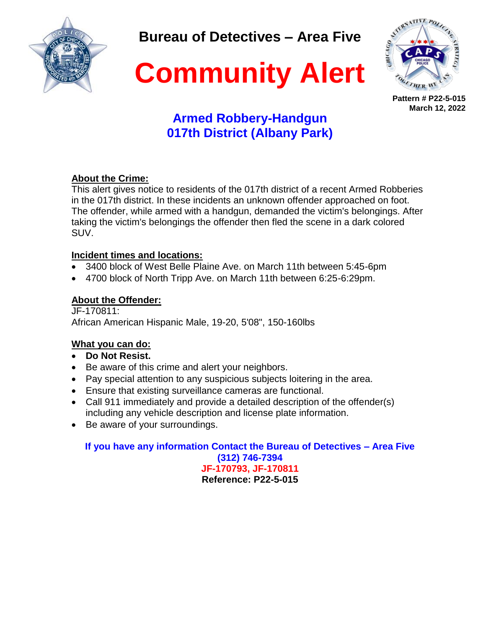

**Bureau of Detectives – Area Five**



**Community Alert**

**Pattern # P22-5-015 March 12, 2022**

# **Armed Robbery-Handgun 017th District (Albany Park)**

### **About the Crime:**

This alert gives notice to residents of the 017th district of a recent Armed Robberies in the 017th district. In these incidents an unknown offender approached on foot. The offender, while armed with a handgun, demanded the victim's belongings. After taking the victim's belongings the offender then fled the scene in a dark colored SUV.

### **Incident times and locations:**

- 3400 block of West Belle Plaine Ave. on March 11th between 5:45-6pm
- 4700 block of North Tripp Ave. on March 11th between 6:25-6:29pm.

### **About the Offender:**

JF-170811: African American Hispanic Male, 19-20, 5'08", 150-160lbs

### **What you can do:**

- **Do Not Resist.**
- Be aware of this crime and alert your neighbors.
- Pay special attention to any suspicious subjects loitering in the area.
- Ensure that existing surveillance cameras are functional.
- Call 911 immediately and provide a detailed description of the offender(s) including any vehicle description and license plate information.
- Be aware of your surroundings.

**If you have any information Contact the Bureau of Detectives – Area Five (312) 746-7394 JF-170793, JF-170811 Reference: P22-5-015**